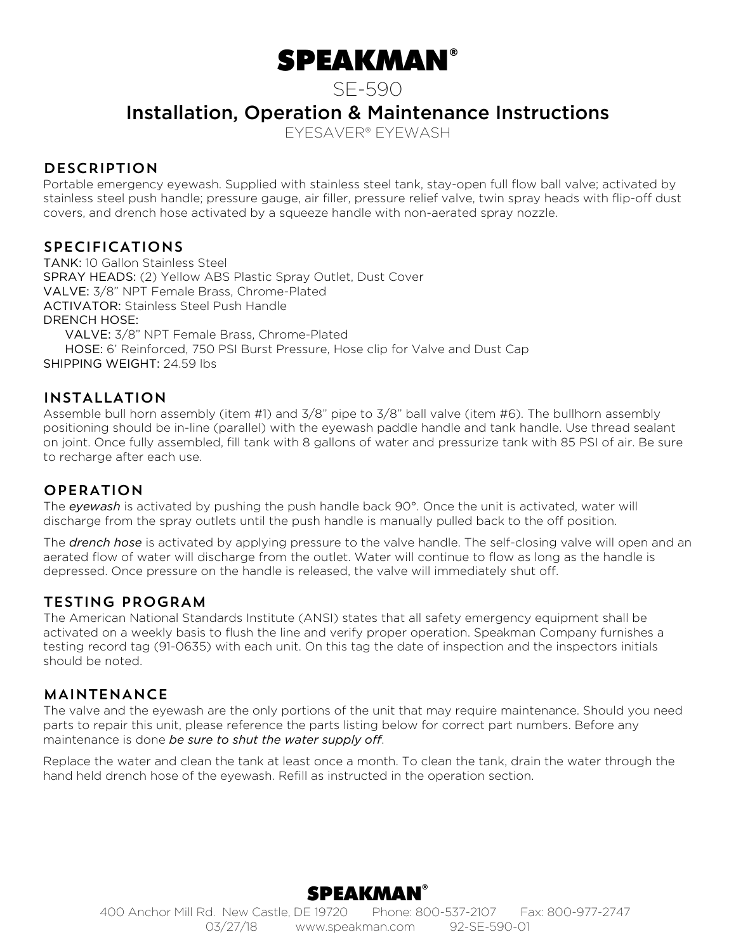# SPEAKMAN®

SE-590

Installation, Operation & Maintenance Instructions

EYESAVER® EYEWASH

#### **DESCRIPTION**

Portable emergency eyewash. Supplied with stainless steel tank, stay-open full flow ball valve; activated by stainless steel push handle; pressure gauge, air filler, pressure relief valve, twin spray heads with flip-off dust covers, and drench hose activated by a squeeze handle with non-aerated spray nozzle.

#### SPECIFICATIONS

TANK: 10 Gallon Stainless Steel SPRAY HEADS: (2) Yellow ABS Plastic Spray Outlet, Dust Cover VALVE: 3/8" NPT Female Brass, Chrome-Plated ACTIVATOR: Stainless Steel Push Handle DRENCH HOSE: VALVE: 3/8" NPT Female Brass, Chrome-Plated HOSE: 6' Reinforced, 750 PSI Burst Pressure, Hose clip for Valve and Dust Cap

SHIPPING WEIGHT: 24.59 lbs

#### INSTALLATION

Assemble bull horn assembly (item #1) and 3/8" pipe to 3/8" ball valve (item #6). The bullhorn assembly positioning should be in-line (parallel) with the eyewash paddle handle and tank handle. Use thread sealant on joint. Once fully assembled, fill tank with 8 gallons of water and pressurize tank with 85 PSI of air. Be sure to recharge after each use.

#### OPERATION

The *eyewash* is activated by pushing the push handle back 90°. Once the unit is activated, water will discharge from the spray outlets until the push handle is manually pulled back to the off position.

The *drench hose* is activated by applying pressure to the valve handle. The self-closing valve will open and an aerated flow of water will discharge from the outlet. Water will continue to flow as long as the handle is depressed. Once pressure on the handle is released, the valve will immediately shut off.

#### TESTING PROGRAM

The American National Standards Institute (ANSI) states that all safety emergency equipment shall be activated on a weekly basis to flush the line and verify proper operation. Speakman Company furnishes a testing record tag (91-0635) with each unit. On this tag the date of inspection and the inspectors initials should be noted.

#### MAINTENANCE

The valve and the eyewash are the only portions of the unit that may require maintenance. Should you need parts to repair this unit, please reference the parts listing below for correct part numbers. Before any maintenance is done *be sure to shut the water supply off*.

Replace the water and clean the tank at least once a month. To clean the tank, drain the water through the hand held drench hose of the eyewash. Refill as instructed in the operation section.

## SPEAKMAN®

400 Anchor Mill Rd. New Castle, DE 19720 Phone: 800-537-2107 Fax: 800-977-2747 03/27/18 www.speakman.com 92-SE-590-01